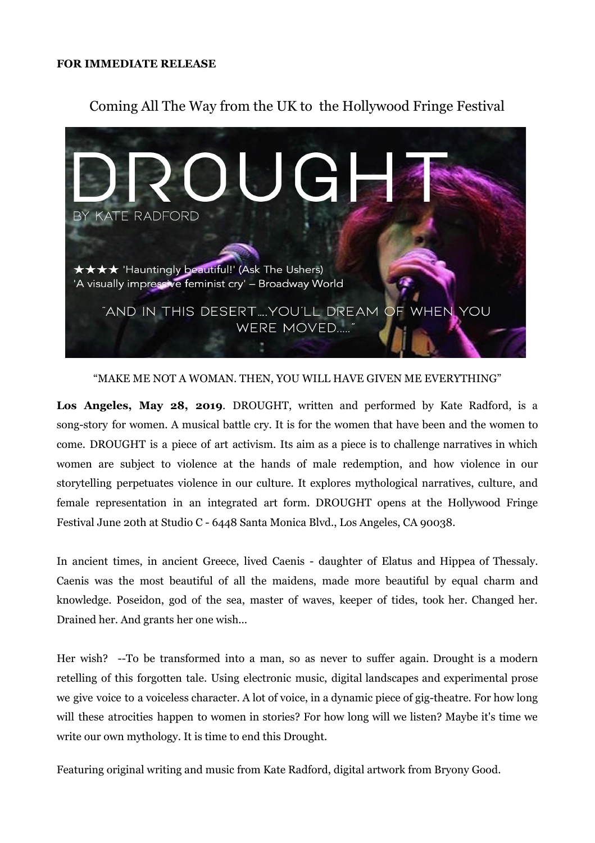## **FOR IMMEDIATE RELEASE**

## Coming All The Way from the UK to the Hollywood Fringe Festival



"MAKE ME NOT A WOMAN. THEN, YOU WILL HAVE GIVEN ME EVERYTHING"

**Los Angeles, May 28, 2019**. DROUGHT, written and performed by Kate Radford, is a song-story for women. A musical battle cry. It is for the women that have been and the women to come. DROUGHT is a piece of art activism. Its aim as a piece is to challenge narratives in which women are subject to violence at the hands of male redemption, and how violence in our storytelling perpetuates violence in our culture. It explores mythological narratives, culture, and female representation in an integrated art form. DROUGHT opens at the Hollywood Fringe Festival June 20th at Studio C - 6448 Santa Monica Blvd., Los Angeles, CA 90038.

In ancient times, in ancient Greece, lived Caenis - daughter of Elatus and Hippea of Thessaly. Caenis was the most beautiful of all the maidens, made more beautiful by equal charm and knowledge. Poseidon, god of the sea, master of waves, keeper of tides, took her. Changed her. Drained her. And grants her one wish...

Her wish? --To be transformed into a man, so as never to suffer again. Drought is a modern retelling of this forgotten tale. Using electronic music, digital landscapes and experimental prose we give voice to a voiceless character. A lot of voice, in a dynamic piece of gig-theatre. For how long will these atrocities happen to women in stories? For how long will we listen? Maybe it's time we write our own mythology. It is time to end this Drought.

Featuring original writing and music from Kate Radford, digital artwork from Bryony Good.